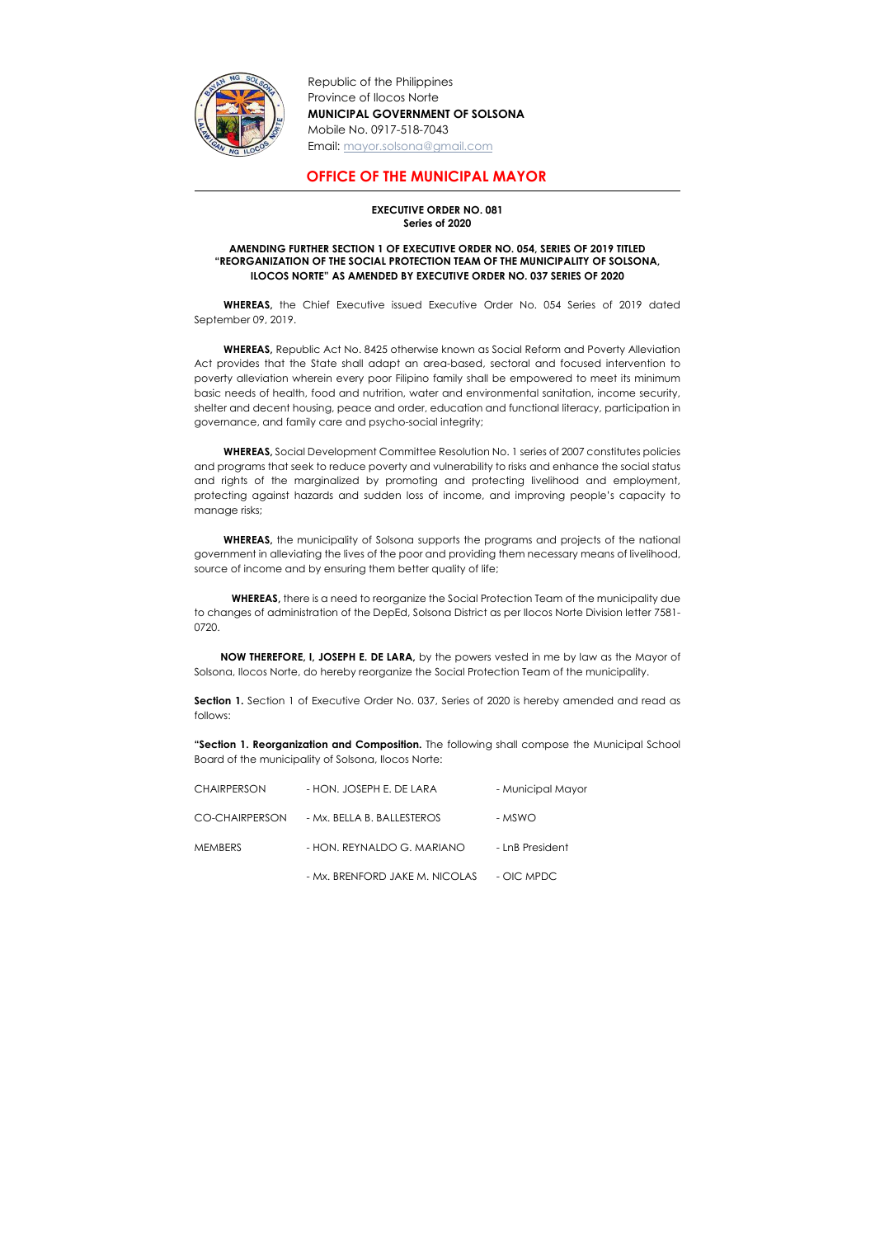

Republic of the Philippines Province of Ilocos Norte MUNICIPAL GOVERNMENT OF SOLSONA Mobile No. 0917-518-7043 Email: mayor.solsona@gmail.com

## OFFICE OF THE MUNICIPAL MAYOR

## EXECUTIVE ORDER NO. 081 Series of 2020

## AMENDING FURTHER SECTION 1 OF EXECUTIVE ORDER NO. 054, SERIES OF 2019 TITLED "REORGANIZATION OF THE SOCIAL PROTECTION TEAM OF THE MUNICIPALITY OF SOLSONA, ILOCOS NORTE" AS AMENDED BY EXECUTIVE ORDER NO. 037 SERIES OF 2020

WHEREAS, the Chief Executive issued Executive Order No. 054 Series of 2019 dated September 09, 2019.

WHEREAS, Republic Act No. 8425 otherwise known as Social Reform and Poverty Alleviation Act provides that the State shall adapt an area-based, sectoral and focused intervention to poverty alleviation wherein every poor Filipino family shall be empowered to meet its minimum basic needs of health, food and nutrition, water and environmental sanitation, income security, shelter and decent housing, peace and order, education and functional literacy, participation in governance, and family care and psycho-social integrity;

WHEREAS, the municipality of Solsona supports the programs and projects of the national government in alleviating the lives of the poor and providing them necessary means of livelihood, source of income and by ensuring them better quality of life;

Section 1. Section 1 of Executive Order No. 037, Series of 2020 is hereby amended and read as follows:

"Section 1. Reorganization and Composition. The following shall compose the Municipal School Board of the municipality of Solsona, Ilocos Norte:

WHEREAS, Social Development Committee Resolution No. 1 series of 2007 constitutes policies and programs that seek to reduce poverty and vulnerability to risks and enhance the social status and rights of the marginalized by promoting and protecting livelihood and employment, protecting against hazards and sudden loss of income, and improving people's capacity to manage risks;

WHEREAS, there is a need to reorganize the Social Protection Team of the municipality due to changes of administration of the DepEd, Solsona District as per Ilocos Norte Division letter 7581- 0720.

 NOW THEREFORE, I, JOSEPH E. DE LARA, by the powers vested in me by law as the Mayor of Solsona, Ilocos Norte, do hereby reorganize the Social Protection Team of the municipality.

| <b>CHAIRPERSON</b> | - HON. JOSEPH E. DE LARA       | - Municipal Mayor |
|--------------------|--------------------------------|-------------------|
| CO-CHAIRPERSON     | - Mx. BELLA B. BALLESTEROS     | - MSWO            |
| <b>MEMBERS</b>     | - HON. REYNALDO G. MARIANO     | - LnB President   |
|                    | - Mx. BRENFORD JAKE M. NICOLAS | - OIC MPDC        |